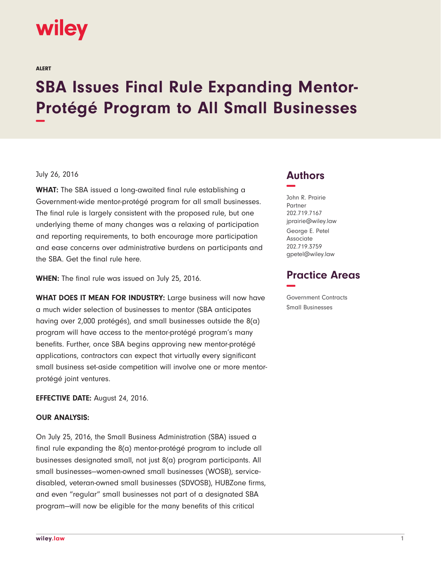# **wiley**

ALERT

# **SBA Issues Final Rule Expanding Mentor-Protégé Program to All Small Businesses −**

#### July 26, 2016

**WHAT:** The SBA issued a long-awaited final rule establishing a Government-wide mentor-protégé program for all small businesses. The final rule is largely consistent with the proposed rule, but one underlying theme of many changes was a relaxing of participation and reporting requirements, to both encourage more participation and ease concerns over administrative burdens on participants and the SBA. Get the final rule here.

**WHEN:** The final rule was issued on July 25, 2016.

**WHAT DOES IT MEAN FOR INDUSTRY:** Large business will now have a much wider selection of businesses to mentor (SBA anticipates having over 2,000 protégés), and small businesses outside the 8(a) program will have access to the mentor-protégé program's many benefits. Further, once SBA begins approving new mentor-protégé applications, contractors can expect that virtually every significant small business set-aside competition will involve one or more mentorprotégé joint ventures.

**EFFECTIVE DATE:** August 24, 2016.

# **OUR ANALYSIS:**

On July 25, 2016, the Small Business Administration (SBA) issued a final rule expanding the 8(a) mentor-protégé program to include all businesses designated small, not just 8(a) program participants. All small businesses—women-owned small businesses (WOSB), servicedisabled, veteran-owned small businesses (SDVOSB), HUBZone firms, and even "regular" small businesses not part of a designated SBA program—will now be eligible for the many benefits of this critical

# **Authors −**

John R. Prairie Partner 202.719.7167 jprairie@wiley.law George E. Petel Associate 202.719.3759 gpetel@wiley.law

# **Practice Areas −**

Government Contracts Small Businesses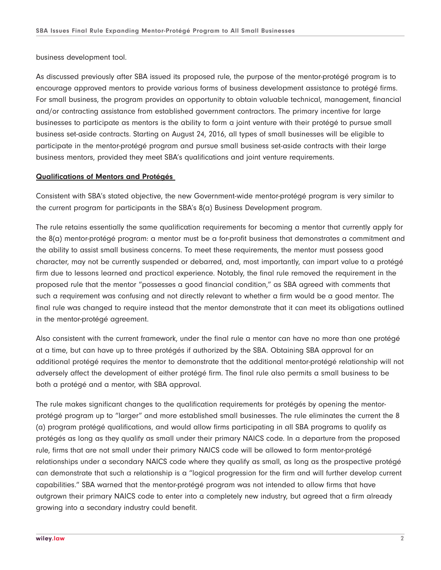business development tool.

As discussed previously after SBA issued its proposed rule, the purpose of the mentor-protégé program is to encourage approved mentors to provide various forms of business development assistance to protégé firms. For small business, the program provides an opportunity to obtain valuable technical, management, financial and/or contracting assistance from established government contractors. The primary incentive for large businesses to participate as mentors is the ability to form a joint venture with their protégé to pursue small business set-aside contracts. Starting on August 24, 2016, all types of small businesses will be eligible to participate in the mentor-protégé program and pursue small business set-aside contracts with their large business mentors, provided they meet SBA's qualifications and joint venture requirements.

# **Qualifications of Mentors and Protégés**

Consistent with SBA's stated objective, the new Government-wide mentor-protégé program is very similar to the current program for participants in the SBA's 8(a) Business Development program.

The rule retains essentially the same qualification requirements for becoming a mentor that currently apply for the 8(a) mentor-protégé program: a mentor must be a for-profit business that demonstrates a commitment and the ability to assist small business concerns. To meet these requirements, the mentor must possess good character, may not be currently suspended or debarred, and, most importantly, can impart value to a protégé firm due to lessons learned and practical experience. Notably, the final rule removed the requirement in the proposed rule that the mentor "possesses a good financial condition," as SBA agreed with comments that such a requirement was confusing and not directly relevant to whether a firm would be a good mentor. The final rule was changed to require instead that the mentor demonstrate that it can meet its obligations outlined in the mentor-protégé agreement.

Also consistent with the current framework, under the final rule a mentor can have no more than one protégé at a time, but can have up to three protégés if authorized by the SBA. Obtaining SBA approval for an additional protégé requires the mentor to demonstrate that the additional mentor-protégé relationship will not adversely affect the development of either protégé firm. The final rule also permits a small business to be both a protégé and a mentor, with SBA approval.

The rule makes significant changes to the qualification requirements for protégés by opening the mentorprotégé program up to "larger" and more established small businesses. The rule eliminates the current the 8 (a) program protégé qualifications, and would allow firms participating in all SBA programs to qualify as protégés as long as they qualify as small under their primary NAICS code. In a departure from the proposed rule, firms that are not small under their primary NAICS code will be allowed to form mentor-protégé relationships under a secondary NAICS code where they qualify as small, as long as the prospective protégé can demonstrate that such a relationship is a "logical progression for the firm and will further develop current capabilities." SBA warned that the mentor-protégé program was not intended to allow firms that have outgrown their primary NAICS code to enter into a completely new industry, but agreed that a firm already growing into a secondary industry could benefit.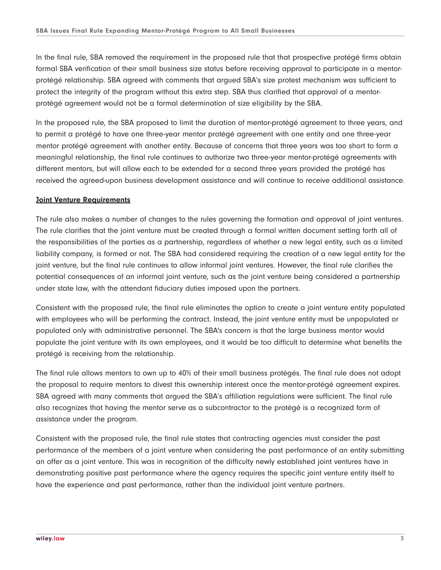In the final rule, SBA removed the requirement in the proposed rule that that prospective protégé firms obtain formal SBA verification of their small business size status before receiving approval to participate in a mentorprotégé relationship. SBA agreed with comments that argued SBA's size protest mechanism was sufficient to protect the integrity of the program without this extra step. SBA thus clarified that approval of a mentorprotégé agreement would not be a formal determination of size eligibility by the SBA.

In the proposed rule, the SBA proposed to limit the duration of mentor-protégé agreement to three years, and to permit a protégé to have one three-year mentor protégé agreement with one entity and one three-year mentor protégé agreement with another entity. Because of concerns that three years was too short to form a meaningful relationship, the final rule continues to authorize two three-year mentor-protégé agreements with different mentors, but will allow each to be extended for a second three years provided the protégé has received the agreed-upon business development assistance and will continue to receive additional assistance.

#### **Joint Venture Requirements**

The rule also makes a number of changes to the rules governing the formation and approval of joint ventures. The rule clarifies that the joint venture must be created through a formal written document setting forth all of the responsibilities of the parties as a partnership, regardless of whether a new legal entity, such as a limited liability company, is formed or not. The SBA had considered requiring the creation of a new legal entity for the joint venture, but the final rule continues to allow informal joint ventures. However, the final rule clarifies the potential consequences of an informal joint venture, such as the joint venture being considered a partnership under state law, with the attendant fiduciary duties imposed upon the partners.

Consistent with the proposed rule, the final rule eliminates the option to create a joint venture entity populated with employees who will be performing the contract. Instead, the joint venture entity must be unpopulated or populated only with administrative personnel. The SBA's concern is that the large business mentor would populate the joint venture with its own employees, and it would be too difficult to determine what benefits the protégé is receiving from the relationship.

The final rule allows mentors to own up to 40% of their small business protégés. The final rule does not adopt the proposal to require mentors to divest this ownership interest once the mentor-protégé agreement expires. SBA agreed with many comments that argued the SBA's affiliation regulations were sufficient. The final rule also recognizes that having the mentor serve as a subcontractor to the protégé is a recognized form of assistance under the program.

Consistent with the proposed rule, the final rule states that contracting agencies must consider the past performance of the members of a joint venture when considering the past performance of an entity submitting an offer as a joint venture. This was in recognition of the difficulty newly established joint ventures have in demonstrating positive past performance where the agency requires the specific joint venture entity itself to have the experience and past performance, rather than the individual joint venture partners.